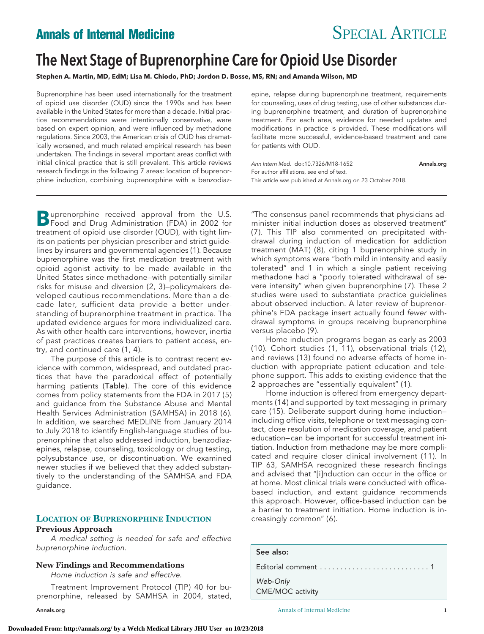# **Annals of Internal Medicine** SPECIAL ARTICLE

# The Next Stage of Buprenorphine Care for Opioid Use Disorder

**Stephen A. Martin, MD, EdM; Lisa M. Chiodo, PhD; Jordon D. Bosse, MS, RN; and Amanda Wilson, MD**

Buprenorphine has been used internationally for the treatment of opioid use disorder (OUD) since the 1990s and has been available in the United States for more than a decade. Initial practice recommendations were intentionally conservative, were based on expert opinion, and were influenced by methadone regulations. Since 2003, the American crisis of OUD has dramatically worsened, and much related empirical research has been undertaken. The findings in several important areas conflict with initial clinical practice that is still prevalent. This article reviews research findings in the following 7 areas: location of buprenorphine induction, combining buprenorphine with a benzodiaz-

epine, relapse during buprenorphine treatment, requirements for counseling, uses of drug testing, use of other substances during buprenorphine treatment, and duration of buprenorphine treatment. For each area, evidence for needed updates and modifications in practice is provided. These modifications will facilitate more successful, evidence-based treatment and care for patients with OUD.

Ann Intern Med. doi:10.7326/M18-1652 [Annals.org](http://www.annals.org) For author affiliations, see end of text. This article was published at [Annals.org](http://www.annals.org) on 23 October 2018.

**B**uprenorphine received approval from the U.S.<br>Food and Drug Administration (FDA) in 2002 for treatment of opioid use disorder (OUD), with tight limits on patients per physician prescriber and strict guidelines by insurers and governmental agencies (1). Because buprenorphine was the first medication treatment with opioid agonist activity to be made available in the United States since methadone—with potentially similar risks for misuse and diversion (2, 3)—policymakers developed cautious recommendations. More than a decade later, sufficient data provide a better understanding of buprenorphine treatment in practice. The updated evidence argues for more individualized care. As with other health care interventions, however, inertia of past practices creates barriers to patient access, entry, and continued care (1, 4).

The purpose of this article is to contrast recent evidence with common, widespread, and outdated practices that have the paradoxical effect of potentially harming patients (Table). The core of this evidence comes from policy statements from the FDA in 2017 (5) and guidance from the Substance Abuse and Mental Health Services Administration (SAMHSA) in 2018 (6). In addition, we searched MEDLINE from January 2014 to July 2018 to identify English-language studies of buprenorphine that also addressed induction, benzodiazepines, relapse, counseling, toxicology or drug testing, polysubstance use, or discontinuation. We examined newer studies if we believed that they added substantively to the understanding of the SAMHSA and FDA guidance.

# **LOCATION OF BUPRENORPHINE INDUCTION**

## **Previous Approach**

A medical setting is needed for safe and effective buprenorphine induction.

#### **New Findings and Recommendations**

Home induction is safe and effective.

Treatment Improvement Protocol (TIP) 40 for buprenorphine, released by SAMHSA in 2004, stated,

"The consensus panel recommends that physicians administer initial induction doses as observed treatment" (7). This TIP also commented on precipitated withdrawal during induction of medication for addiction treatment (MAT) (8), citing 1 buprenorphine study in which symptoms were "both mild in intensity and easily tolerated" and 1 in which a single patient receiving methadone had a "poorly tolerated withdrawal of severe intensity" when given buprenorphine (7). These 2 studies were used to substantiate practice guidelines about observed induction. A later review of buprenorphine's FDA package insert actually found fewer withdrawal symptoms in groups receiving buprenorphine versus placebo (9).

Home induction programs began as early as 2003 (10). Cohort studies (1, 11), observational trials (12), and reviews (13) found no adverse effects of home induction with appropriate patient education and telephone support. This adds to existing evidence that the 2 approaches are "essentially equivalent" (1).

Home induction is offered from emergency departments (14) and supported by text messaging in primary care (15). Deliberate support during home induction including office visits, telephone or text messaging contact, close resolution of medication coverage, and patient education— can be important for successful treatment initiation. Induction from methadone may be more complicated and require closer clinical involvement (11). In TIP 63, SAMHSA recognized these research findings and advised that "[i]nduction can occur in the office or at home. Most clinical trials were conducted with officebased induction, and extant guidance recommends this approach. However, office-based induction can be a barrier to treatment initiation. Home induction is increasingly common" (6).

#### See also:

Editorial comment ...........................1

*Web-Only*

CME/MOC activity

[Annals.org](http://www.annals.org) Annals of Internal Medicine **1**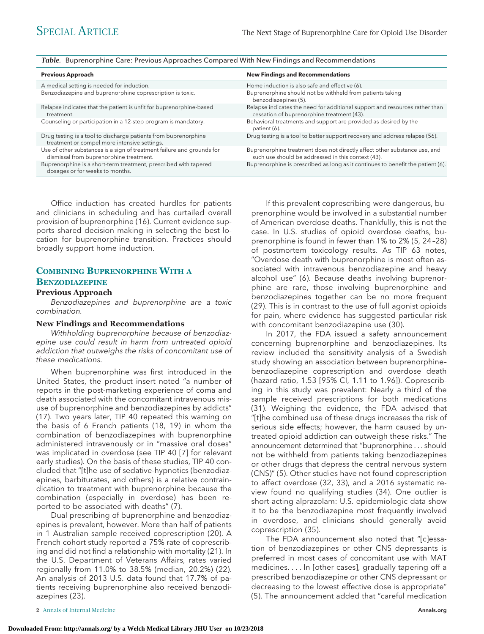| <b>Previous Approach</b>                                                                                          | <b>New Findings and Recommendations</b>                                                                                         |
|-------------------------------------------------------------------------------------------------------------------|---------------------------------------------------------------------------------------------------------------------------------|
| A medical setting is needed for induction.                                                                        | Home induction is also safe and effective (6).                                                                                  |
| Benzodiazepine and buprenorphine coprescription is toxic.                                                         | Buprenorphine should not be withheld from patients taking<br>benzodiazepines (5).                                               |
| Relapse indicates that the patient is unfit for buprenorphine-based<br>treatment.                                 | Relapse indicates the need for additional support and resources rather than<br>cessation of buprenorphine treatment (43).       |
| Counseling or participation in a 12-step program is mandatory.                                                    | Behavioral treatments and support are provided as desired by the<br>patient (6).                                                |
| Drug testing is a tool to discharge patients from buprenorphine<br>treatment or compel more intensive settings.   | Drug testing is a tool to better support recovery and address relapse (56).                                                     |
| Use of other substances is a sign of treatment failure and grounds for<br>dismissal from buprenorphine treatment. | Buprenorphine treatment does not directly affect other substance use, and<br>such use should be addressed in this context (43). |
| Buprenorphine is a short-term treatment, prescribed with tapered<br>dosages or for weeks to months.               | Buprenorphine is prescribed as long as it continues to benefit the patient (6).                                                 |

### *Table.* Buprenorphine Care: Previous Approaches Compared With New Findings and Recommendations

Office induction has created hurdles for patients and clinicians in scheduling and has curtailed overall provision of buprenorphine (16). Current evidence supports shared decision making in selecting the best location for buprenorphine transition. Practices should broadly support home induction.

# **COMBINING BUPRENORPHINE WITH A BENZODIAZEPINE**

#### **Previous Approach**

Benzodiazepines and buprenorphine are a toxic combination.

#### **New Findings and Recommendations**

Withholding buprenorphine because of benzodiazepine use could result in harm from untreated opioid addiction that outweighs the risks of concomitant use of these medications.

When buprenorphine was first introduced in the United States, the product insert noted "a number of reports in the post-marketing experience of coma and death associated with the concomitant intravenous misuse of buprenorphine and benzodiazepines by addicts" (17). Two years later, TIP 40 repeated this warning on the basis of 6 French patients (18, 19) in whom the combination of benzodiazepines with buprenorphine administered intravenously or in "massive oral doses" was implicated in overdose (see TIP 40 [7] for relevant early studies). On the basis of these studies, TIP 40 concluded that "[t]he use of sedative-hypnotics (benzodiazepines, barbiturates, and others) is a relative contraindication to treatment with buprenorphine because the combination (especially in overdose) has been reported to be associated with deaths" (7).

Dual prescribing of buprenorphine and benzodiazepines is prevalent, however. More than half of patients in 1 Australian sample received coprescription (20). A French cohort study reported a 75% rate of coprescribing and did not find a relationship with mortality (21). In the U.S. Department of Veterans Affairs, rates varied regionally from 11.0% to 38.5% (median, 20.2%) (22). An analysis of 2013 U.S. data found that 17.7% of patients receiving buprenorphine also received benzodiazepines (23).

If this prevalent coprescribing were dangerous, buprenorphine would be involved in a substantial number of American overdose deaths. Thankfully, this is not the case. In U.S. studies of opioid overdose deaths, buprenorphine is found in fewer than 1% to 2% (5, 24 –28) of postmortem toxicology results. As TIP 63 notes, "Overdose death with buprenorphine is most often associated with intravenous benzodiazepine and heavy alcohol use" (6). Because deaths involving buprenorphine are rare, those involving buprenorphine and benzodiazepines together can be no more frequent (29). This is in contrast to the use of full agonist opioids for pain, where evidence has suggested particular risk with concomitant benzodiazepine use (30).

In 2017, the FDA issued a safety announcement concerning buprenorphine and benzodiazepines. Its review included the sensitivity analysis of a Swedish study showing an association between buprenorphine– benzodiazepine coprescription and overdose death (hazard ratio, 1.53 [95% CI, 1.11 to 1.96]). Coprescribing in this study was prevalent: Nearly a third of the sample received prescriptions for both medications (31). Weighing the evidence, the FDA advised that "[t]he combined use of these drugs increases the risk of serious side effects; however, the harm caused by untreated opioid addiction can outweigh these risks." The announcement determined that "buprenorphine... should not be withheld from patients taking benzodiazepines or other drugs that depress the central nervous system (CNS)" (5). Other studies have not found coprescription to affect overdose (32, 33), and a 2016 systematic review found no qualifying studies (34). One outlier is short-acting alprazolam: U.S. epidemiologic data show it to be the benzodiazepine most frequently involved in overdose, and clinicians should generally avoid coprescription (35).

The FDA announcement also noted that "[c]essation of benzodiazepines or other CNS depressants is preferred in most cases of concomitant use with MAT medicines. . . . In [other cases], gradually tapering off a prescribed benzodiazepine or other CNS depressant or decreasing to the lowest effective dose is appropriate" (5). The announcement added that "careful medication

**2** Annals of Internal Medicine **[Annals.org](http://www.annals.org) 2** Annals.org **2** Annals.org **2** Annals.org **2** Annals.org **2** Annals.org **2** Annals.org **2** Annals.org **2** Annals.org **2** Annals.org **2** Annals.org **2** Annals.org **2** Annals.o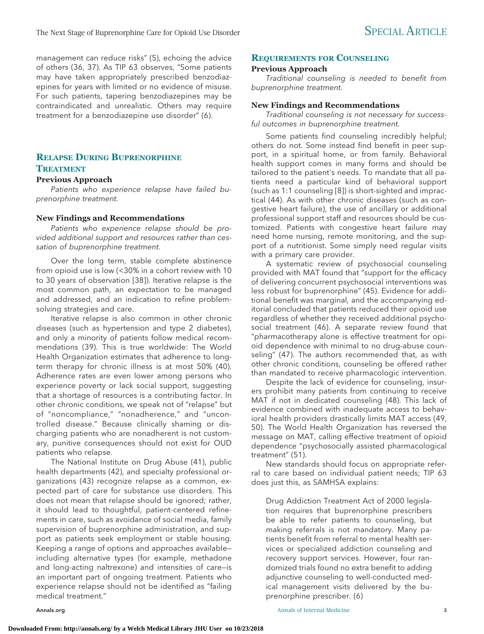management can reduce risks" (5), echoing the advice of others (36, 37). As TIP 63 observes, "Some patients may have taken appropriately prescribed benzodiazepines for years with limited or no evidence of misuse. For such patients, tapering benzodiazepines may be contraindicated and unrealistic. Others may require treatment for a benzodiazepine use disorder" (6).

# **RELAPSE DURING BUPRENORPHINE TREATMENT**

#### **Previous Approach**

Patients who experience relapse have failed buprenorphine treatment.

#### **New Findings and Recommendations**

Patients who experience relapse should be provided additional support and resources rather than cessation of buprenorphine treatment.

Over the long term, stable complete abstinence from opioid use is low (<30% in a cohort review with 10 to 30 years of observation [38]). Iterative relapse is the most common path, an expectation to be managed and addressed, and an indication to refine problemsolving strategies and care.

Iterative relapse is also common in other chronic diseases (such as hypertension and type 2 diabetes), and only a minority of patients follow medical recommendations (39). This is true worldwide: The World Health Organization estimates that adherence to longterm therapy for chronic illness is at most 50% (40). Adherence rates are even lower among persons who experience poverty or lack social support, suggesting that a shortage of resources is a contributing factor. In other chronic conditions, we speak not of "relapse" but of "noncompliance," "nonadherence," and "uncontrolled disease." Because clinically shaming or discharging patients who are nonadherent is not customary, punitive consequences should not exist for OUD patients who relapse.

The National Institute on Drug Abuse (41), public health departments (42), and specialty professional organizations (43) recognize relapse as a common, expected part of care for substance use disorders. This does not mean that relapse should be ignored; rather, it should lead to thoughtful, patient-centered refinements in care, such as avoidance of social media, family supervision of buprenorphine administration, and support as patients seek employment or stable housing. Keeping a range of options and approaches available including alternative types (for example, methadone and long-acting naltrexone) and intensities of care—is an important part of ongoing treatment. Patients who experience relapse should not be identified as "failing medical treatment."

#### **REQUIREMENTS FOR COUNSELING**

#### **Previous Approach**

Traditional counseling is needed to benefit from buprenorphine treatment.

#### **New Findings and Recommendations**

Traditional counseling is not necessary for successful outcomes in buprenorphine treatment.

Some patients find counseling incredibly helpful; others do not. Some instead find benefit in peer support, in a spiritual home, or from family. Behavioral health support comes in many forms and should be tailored to the patient's needs. To mandate that all patients need a particular kind of behavioral support (such as 1:1 counseling [8]) is short-sighted and impractical (44). As with other chronic diseases (such as congestive heart failure), the use of ancillary or additional professional support staff and resources should be customized. Patients with congestive heart failure may need home nursing, remote monitoring, and the support of a nutritionist. Some simply need regular visits with a primary care provider.

A systematic review of psychosocial counseling provided with MAT found that "support for the efficacy of delivering concurrent psychosocial interventions was less robust for buprenorphine" (45). Evidence for additional benefit was marginal, and the accompanying editorial concluded that patients reduced their opioid use regardless of whether they received additional psychosocial treatment (46). A separate review found that "pharmacotherapy alone is effective treatment for opioid dependence with minimal to no drug-abuse counseling" (47). The authors recommended that, as with other chronic conditions, counseling be offered rather than mandated to receive pharmacologic intervention.

Despite the lack of evidence for counseling, insurers prohibit many patients from continuing to receive MAT if not in dedicated counseling (48). This lack of evidence combined with inadequate access to behavioral health providers drastically limits MAT access (49, 50). The World Health Organization has reversed the message on MAT, calling effective treatment of opioid dependence "psychosocially assisted pharmacological treatment" (51).

New standards should focus on appropriate referral to care based on individual patient needs; TIP 63 does just this, as SAMHSA explains:

Drug Addiction Treatment Act of 2000 legislation requires that buprenorphine prescribers be able to refer patients to counseling, but making referrals is not mandatory. Many patients benefit from referral to mental health services or specialized addiction counseling and recovery support services. However, four randomized trials found no extra benefit to adding adjunctive counseling to well-conducted medical management visits delivered by the buprenorphine prescriber. (6)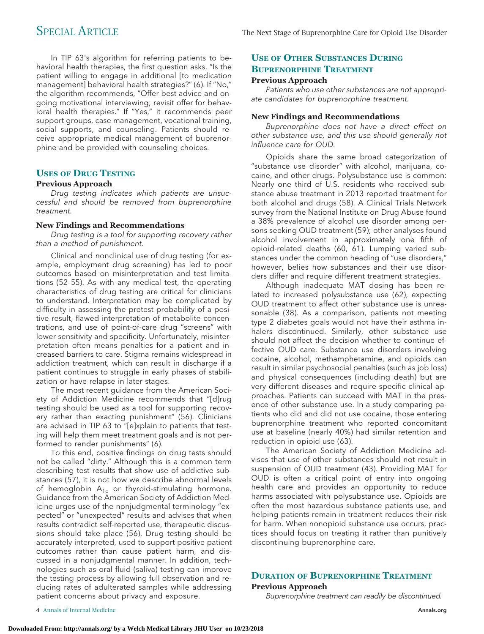In TIP 63's algorithm for referring patients to behavioral health therapies, the first question asks, "Is the patient willing to engage in additional [to medication management] behavioral health strategies?" (6). If "No," the algorithm recommends, "Offer best advice and ongoing motivational interviewing; revisit offer for behavioral health therapies." If "Yes," it recommends peer support groups, case management, vocational training, social supports, and counseling. Patients should receive appropriate medical management of buprenorphine and be provided with counseling choices.

## **USES OF DRUG TESTING**

### **Previous Approach**

Drug testing indicates which patients are unsuccessful and should be removed from buprenorphine treatment.

### **New Findings and Recommendations**

Drug testing is a tool for supporting recovery rather than a method of punishment.

Clinical and nonclinical use of drug testing (for example, employment drug screening) has led to poor outcomes based on misinterpretation and test limitations (52–55). As with any medical test, the operating characteristics of drug testing are critical for clinicians to understand. Interpretation may be complicated by difficulty in assessing the pretest probability of a positive result, flawed interpretation of metabolite concentrations, and use of point-of-care drug "screens" with lower sensitivity and specificity. Unfortunately, misinterpretation often means penalties for a patient and increased barriers to care. Stigma remains widespread in addiction treatment, which can result in discharge if a patient continues to struggle in early phases of stabilization or have relapse in later stages.

The most recent guidance from the American Society of Addiction Medicine recommends that "[d]rug testing should be used as a tool for supporting recovery rather than exacting punishment" (56). Clinicians are advised in TIP 63 to "[e]xplain to patients that testing will help them meet treatment goals and is not performed to render punishments" (6).

To this end, positive findings on drug tests should not be called "dirty." Although this is a common term describing test results that show use of addictive substances (57), it is not how we describe abnormal levels of hemoglobin  $A_{1c}$  or thyroid-stimulating hormone. Guidance from the American Society of Addiction Medicine urges use of the nonjudgmental terminology "expected" or "unexpected" results and advises that when results contradict self-reported use, therapeutic discussions should take place (56). Drug testing should be accurately interpreted, used to support positive patient outcomes rather than cause patient harm, and discussed in a nonjudgmental manner. In addition, technologies such as oral fluid (saliva) testing can improve the testing process by allowing full observation and reducing rates of adulterated samples while addressing patient concerns about privacy and exposure.

# **USE OF OTHER SUBSTANCES DURING BUPRENORPHINE TREATMENT**

### **Previous Approach**

Patients who use other substances are not appropriate candidates for buprenorphine treatment.

### **New Findings and Recommendations**

Buprenorphine does not have a direct effect on other substance use, and this use should generally not influence care for OUD.

Opioids share the same broad categorization of "substance use disorder" with alcohol, marijuana, cocaine, and other drugs. Polysubstance use is common: Nearly one third of U.S. residents who received substance abuse treatment in 2013 reported treatment for both alcohol and drugs (58). A Clinical Trials Network survey from the National Institute on Drug Abuse found a 38% prevalence of alcohol use disorder among persons seeking OUD treatment (59); other analyses found alcohol involvement in approximately one fifth of opioid-related deaths (60, 61). Lumping varied substances under the common heading of "use disorders," however, belies how substances and their use disorders differ and require different treatment strategies.

Although inadequate MAT dosing has been related to increased polysubstance use (62), expecting OUD treatment to affect other substance use is unreasonable (38). As a comparison, patients not meeting type 2 diabetes goals would not have their asthma inhalers discontinued. Similarly, other substance use should not affect the decision whether to continue effective OUD care. Substance use disorders involving cocaine, alcohol, methamphetamine, and opioids can result in similar psychosocial penalties (such as job loss) and physical consequences (including death) but are very different diseases and require specific clinical approaches. Patients can succeed with MAT in the presence of other substance use. In a study comparing patients who did and did not use cocaine, those entering buprenorphine treatment who reported concomitant use at baseline (nearly 40%) had similar retention and reduction in opioid use (63).

The American Society of Addiction Medicine advises that use of other substances should not result in suspension of OUD treatment (43). Providing MAT for OUD is often a critical point of entry into ongoing health care and provides an opportunity to reduce harms associated with polysubstance use. Opioids are often the most hazardous substance patients use, and helping patients remain in treatment reduces their risk for harm. When nonopioid substance use occurs, practices should focus on treating it rather than punitively discontinuing buprenorphine care.

# **DURATION OF BUPRENORPHINE TREATMENT Previous Approach**

Buprenorphine treatment can readily be discontinued.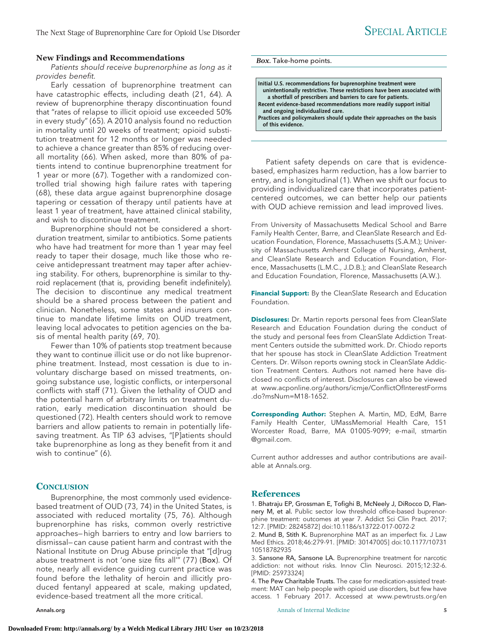#### **New Findings and Recommendations**

#### Patients should receive buprenorphine as long as it provides benefit.

Early cessation of buprenorphine treatment can have catastrophic effects, including death (21, 64). A review of buprenorphine therapy discontinuation found that "rates of relapse to illicit opioid use exceeded 50% in every study" (65). A 2010 analysis found no reduction in mortality until 20 weeks of treatment; opioid substitution treatment for 12 months or longer was needed to achieve a chance greater than 85% of reducing overall mortality (66). When asked, more than 80% of patients intend to continue buprenorphine treatment for 1 year or more (67). Together with a randomized controlled trial showing high failure rates with tapering (68), these data argue against buprenorphine dosage tapering or cessation of therapy until patients have at least 1 year of treatment, have attained clinical stability, and wish to discontinue treatment.

Buprenorphine should not be considered a shortduration treatment, similar to antibiotics. Some patients who have had treatment for more than 1 year may feel ready to taper their dosage, much like those who receive antidepressant treatment may taper after achieving stability. For others, buprenorphine is similar to thyroid replacement (that is, providing benefit indefinitely). The decision to discontinue any medical treatment should be a shared process between the patient and clinician. Nonetheless, some states and insurers continue to mandate lifetime limits on OUD treatment, leaving local advocates to petition agencies on the basis of mental health parity (69, 70).

Fewer than 10% of patients stop treatment because they want to continue illicit use or do not like buprenorphine treatment. Instead, most cessation is due to involuntary discharge based on missed treatments, ongoing substance use, logistic conflicts, or interpersonal conflicts with staff (71). Given the lethality of OUD and the potential harm of arbitrary limits on treatment duration, early medication discontinuation should be questioned (72). Health centers should work to remove barriers and allow patients to remain in potentially lifesaving treatment. As TIP 63 advises, "[P]atients should take buprenorphine as long as they benefit from it and wish to continue" (6).

#### **CONCLUSION**

Buprenorphine, the most commonly used evidencebased treatment of OUD (73, 74) in the United States, is associated with reduced mortality (75, 76). Although buprenorphine has risks, common overly restrictive approaches— high barriers to entry and low barriers to dismissal— can cause patient harm and contrast with the National Institute on Drug Abuse principle that "[d]rug abuse treatment is not 'one size fits all'" (77) (Box). Of note, nearly all evidence guiding current practice was found before the lethality of heroin and illicitly produced fentanyl appeared at scale, making updated, evidence-based treatment all the more critical.

*Box.* Take-home points.

| Initial U.S. recommendations for buprenorphine treatment were             |
|---------------------------------------------------------------------------|
| unintentionally restrictive. These restrictions have been associated with |
| a shortfall of prescribers and barriers to care for patients.             |
| Recent evidence-based recommendations more readily support initial        |
| and ongoing individualized care.                                          |
| Practices and policymakers should update their approaches on the basis    |
| of this evidence.                                                         |
|                                                                           |

Patient safety depends on care that is evidencebased, emphasizes harm reduction, has a low barrier to entry, and is longitudinal (1). When we shift our focus to providing individualized care that incorporates patientcentered outcomes, we can better help our patients with OUD achieve remission and lead improved lives.

From University of Massachusetts Medical School and Barre Family Health Center, Barre, and CleanSlate Research and Education Foundation, Florence, Massachusetts (S.A.M.); University of Massachusetts Amherst College of Nursing, Amherst, and CleanSlate Research and Education Foundation, Florence, Massachusetts (L.M.C., J.D.B.); and CleanSlate Research and Education Foundation, Florence, Massachusetts (A.W.).

**Financial Support:** By the CleanSlate Research and Education Foundation.

**Disclosures:** Dr. Martin reports personal fees from CleanSlate Research and Education Foundation during the conduct of the study and personal fees from CleanSlate Addiction Treatment Centers outside the submitted work. Dr. Chiodo reports that her spouse has stock in CleanSlate Addiction Treatment Centers. Dr. Wilson reports owning stock in CleanSlate Addiction Treatment Centers. Authors not named here have disclosed no conflicts of interest. Disclosures can also be viewed at [www.acponline.org/authors/icmje/ConflictOfInterestForms](http://www.acponline.org/authors/icmje/ConflictOfInterestForms.do?msNum=M18-1652) [.do?msNum=M18-1652.](http://www.acponline.org/authors/icmje/ConflictOfInterestForms.do?msNum=M18-1652)

**Corresponding Author:** Stephen A. Martin, MD, EdM, Barre Family Health Center, UMassMemorial Health Care, 151 Worcester Road, Barre, MA 01005-9099; e-mail, [stmartin](mailto:stmartin@gmail.com) [@gmail.com.](mailto:stmartin@gmail.com)

Current author addresses and author contributions are available at [Annals.org.](http://www.annals.org)

#### **References**

1. Bhatraju EP, Grossman E, Tofighi B, McNeely J, DiRocco D, Flannery M, et al. Public sector low threshold office-based buprenorphine treatment: outcomes at year 7. Addict Sci Clin Pract. 2017; 12:7. [PMID: 28245872] doi:10.1186/s13722-017-0072-2

2. Mund B, Stith K. Buprenorphine MAT as an imperfect fix. J Law Med Ethics. 2018;46:279-91. [PMID: 30147005] doi:10.1177/10731 10518782935

3. Sansone RA, Sansone LA. Buprenorphine treatment for narcotic addiction: not without risks. Innov Clin Neurosci. 2015;12:32-6. [PMID: 25973324]

4. The Pew Charitable Trusts. The case for medication-assisted treatment: MAT can help people with opioid use disorders, but few have access. 1 February 2017. Accessed at [www.pewtrusts.org/en](http://www.pewtrusts.org/en/research-and-analysis/fact-sheets/2017/02/the-case-for-medication-assisted-treatment)

[Annals.org](http://www.annals.org) **Annals of Internal Medicine** 5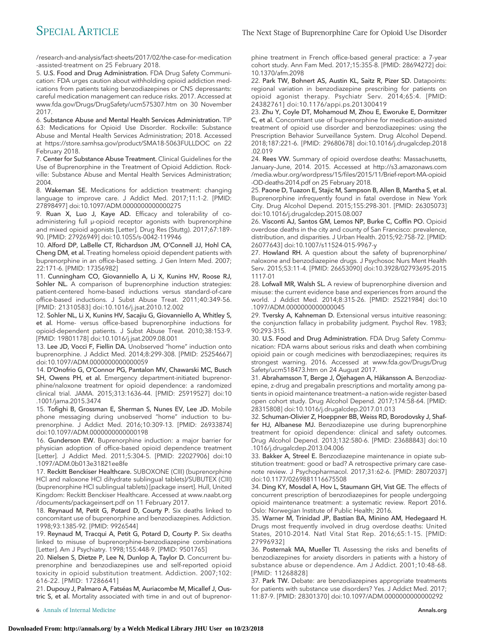/research-and-analysis/fact-sheets/2017/02/the-case-for-medication [-assisted-treatment](http://www.pewtrusts.org/en/research-and-analysis/fact-sheets/2017/02/the-case-for-medication-assisted-treatment) on 25 February 2018.

5. U.S. Food and Drug Administration. FDA Drug Safety Communication: FDA urges caution about withholding opioid addiction medications from patients taking benzodiazepines or CNS depressants: careful medication management can reduce risks. 2017. Accessed at [www.fda.gov/Drugs/DrugSafety/ucm575307.htm](http://www.fda.gov/Drugs/DrugSafety/ucm575307.htm) on 30 November 2017.

6. Substance Abuse and Mental Health Services Administration. TIP 63: Medications for Opioid Use Disorder. Rockville: Substance Abuse and Mental Health Services Administration; 2018. Accessed at<https://store.samhsa.gov/product/SMA18-5063FULLDOC> on 22 February 2018.

7. Center for Substance Abuse Treatment. Clinical Guidelines for the Use of Buprenorphine in the Treatment of Opioid Addiction. Rockville: Substance Abuse and Mental Health Services Administration; 2004.

8. Wakeman SE. Medications for addiction treatment: changing language to improve care. J Addict Med. 2017;11:1-2. [PMID: 27898497] doi:10.1097/ADM.0000000000000275

9. Ruan X, Luo J, Kaye AD. Efficacy and tolerability of coadministering full μ-opioid receptor agonists with buprenorphine and mixed opioid agonists [Letter]. Drug Res (Stuttg). 2017;67:189- 90. [PMID: 27926949] doi:10.1055/s-0042-119946

10. Alford DP, LaBelle CT, Richardson JM, O'Connell JJ, Hohl CA, Cheng DM, et al. Treating homeless opioid dependent patients with buprenorphine in an office-based setting. J Gen Intern Med. 2007; 22:171-6. [PMID: 17356982]

11. Cunningham CO, Giovanniello A, Li X, Kunins HV, Roose RJ, Sohler NL. A comparison of buprenorphine induction strategies: patient-centered home-based inductions versus standard-of-care office-based inductions. J Subst Abuse Treat. 2011;40:349-56. [PMID: 21310583] doi:10.1016/j.jsat.2010.12.002

12. Sohler NL, Li X, Kunins HV, Sacajiu G, Giovanniello A, Whitley S, et al. Home- versus office-based buprenorphine inductions for opioid-dependent patients. J Subst Abuse Treat. 2010;38:153-9. [PMID: 19801178] doi:10.1016/j.jsat.2009.08.001

13. Lee JD, Vocci F, Fiellin DA. Unobserved "home" induction onto buprenorphine. J Addict Med. 2014;8:299-308. [PMID: 25254667] doi:10.1097/ADM.0000000000000059

14. D'Onofrio G, O'Connor PG, Pantalon MV, Chawarski MC, Busch SH, Owens PH, et al. Emergency department-initiated buprenorphine/naloxone treatment for opioid dependence: a randomized clinical trial. JAMA. 2015;313:1636-44. [PMID: 25919527] doi:10 .1001/jama.2015.3474

15. Tofighi B, Grossman E, Sherman S, Nunes EV, Lee JD. Mobile phone messaging during unobserved "home" induction to buprenorphine. J Addict Med. 2016;10:309-13. [PMID: 26933874] doi:10.1097/ADM.0000000000000198

16. Gunderson EW. Buprenorphine induction: a major barrier for physician adoption of office-based opioid dependence treatment [Letter]. J Addict Med. 2011;5:304-5. [PMID: 22027906] doi:10 .1097/ADM.0b013e31821ee8fe

17. Reckitt Benckiser Healthcare. SUBOXONE (CIII) (buprenorphine HCl and naloxone HCl dihydrate sublingual tablets)/SUBUTEX (CIII) (buprenorphine HCl sublingual tablets) [package insert]. Hull, United Kingdom: Reckitt Benckiser Healthcare. Accessed at [www.naabt.org](http://www.naabt.org/documents/packageinsert.pdf) [/documents/packageinsert.pdf](http://www.naabt.org/documents/packageinsert.pdf) on 11 February 2017.

18. Reynaud M, Petit G, Potard D, Courty P. Six deaths linked to concomitant use of buprenorphine and benzodiazepines. Addiction. 1998;93:1385-92. [PMID: 9926544]

19. Reynaud M, Tracqui A, Petit G, Potard D, Courty P. Six deaths linked to misuse of buprenorphine-benzodiazepine combinations [Letter]. Am J Psychiatry. 1998;155:448-9. [PMID: 9501765]

20. Nielsen S, Dietze P, Lee N, Dunlop A, Taylor D. Concurrent buprenorphine and benzodiazepines use and self-reported opioid toxicity in opioid substitution treatment. Addiction. 2007;102: 616-22. [PMID: 17286641]

21. Dupouy J, Palmaro A, Fatséas M, Auriacombe M, Micallef J, Oustric S, et al. Mortality associated with time in and out of buprenorphine treatment in French office-based general practice: a 7-year cohort study. Ann Fam Med. 2017;15:355-8. [PMID: 28694272] doi: 10.1370/afm.2098

22. Park TW, Bohnert AS, Austin KL, Saitz R, Pizer SD. Datapoints: regional variation in benzodiazepine prescribing for patients on opioid agonist therapy. Psychiatr Serv. 2014;65:4. [PMID: 24382761] doi:10.1176/appi.ps.201300419

23. Zhu Y, Coyle DT, Mohamoud M, Zhou E, Eworuke E, Dormitzer C, et al. Concomitant use of buprenorphine for medication-assisted treatment of opioid use disorder and benzodiazepines: using the Prescription Behavior Surveillance System. Drug Alcohol Depend. 2018;187:221-6. [PMID: 29680678] doi:10.1016/j.drugalcdep.2018 .02.019

24. Rees VW. Summary of opioid overdose deaths: Massachusetts, January–June, 2014. 2015. Accessed at [http://s3.amazonaws.com](http://s3.amazonaws.com/media.wbur.org/wordpress/15/files/2015/11/Brief-report-MA-opioid-OD-deaths-2014.pdf) [/media.wbur.org/wordpress/15/files/2015/11/Brief-report-MA-opioid](http://s3.amazonaws.com/media.wbur.org/wordpress/15/files/2015/11/Brief-report-MA-opioid-OD-deaths-2014.pdf) [-OD-deaths-2014.pdf](http://s3.amazonaws.com/media.wbur.org/wordpress/15/files/2015/11/Brief-report-MA-opioid-OD-deaths-2014.pdf) on 25 February 2018.

25. Paone D, Tuazon E, Stajic M, Sampson B, Allen B, Mantha S, et al. Buprenorphine infrequently found in fatal overdose in New York City. Drug Alcohol Depend. 2015;155:298-301. [PMID: 26305073] doi:10.1016/j.drugalcdep.2015.08.007

26. Visconti AJ, Santos GM, Lemos NP, Burke C, Coffin PO. Opioid overdose deaths in the city and county of San Francisco: prevalence, distribution, and disparities. J Urban Health. 2015;92:758-72. [PMID: 26077643] doi:10.1007/s11524-015-9967-y

27. Howland RH. A question about the safety of buprenorphine/ naloxone and benzodiazepine drugs. J Psychosoc Nurs Ment Health Serv. 2015;53:11-4. [PMID: 26653090] doi:10.3928/02793695-2015 1117-01

28. Lofwall MR, Walsh SL. A review of buprenorphine diversion and misuse: the current evidence base and experiences from around the world. J Addict Med. 2014;8:315-26. [PMID: 25221984] doi:10 .1097/ADM.0000000000000045

29. Tversky A, Kahneman D. Extensional versus intuitive reasoning: the conjunction fallacy in probability judgment. Psychol Rev. 1983; 90:293-315.

30. U.S. Food and Drug Administration. FDA Drug Safety Communication: FDA warns about serious risks and death when combining opioid pain or cough medicines with benzodiazepines; requires its strongest warning. 2016. Accessed at [www.fda.gov/Drugs/Drug](http://www.fda.gov/Drugs/DrugSafety/ucm518473.htm) [Safety/ucm518473.htm](http://www.fda.gov/Drugs/DrugSafety/ucm518473.htm) on 24 August 2017.

31. Abrahamsson T, Berge J, Öjehagen A, Håkansson A. Benzodiazepine, z-drug and pregabalin prescriptions and mortality among patients in opioid maintenance treatment—a nation-wide register-based open cohort study. Drug Alcohol Depend. 2017;174:58-64. [PMID: 28315808] doi:10.1016/j.drugalcdep.2017.01.013

32. Schuman-Olivier Z, Hoeppner BB, Weiss RD, Borodovsky J, Shaffer HJ, Albanese MJ. Benzodiazepine use during buprenorphine treatment for opioid dependence: clinical and safety outcomes. Drug Alcohol Depend. 2013;132:580-6. [PMID: 23688843] doi:10 .1016/j.drugalcdep.2013.04.006

33. Bakker A, Streel E. Benzodiazepine maintenance in opiate substitution treatment: good or bad? A retrospective primary care casenote review. J Psychopharmacol. 2017;31:62-6. [PMID: 28072037] doi:10.1177/0269881116675508

34. Ding KY, Mosdøl A, Hov L, Staumann GH, Vist GE. The effects of concurrent prescription of benzodiazepines for people undergoing opioid maintenance treatment: a systematic review. Report 2016. Oslo: Norwegian Institute of Public Health; 2016.

35. Warner M, Trinidad JP, Bastian BA, Minino AM, Hedegaard H. Drugs most frequently involved in drug overdose deaths: United States, 2010-2014. Natl Vital Stat Rep. 2016;65:1-15. [PMID: 27996932]

36. Posternak MA, Mueller TI. Assessing the risks and benefits of benzodiazepines for anxiety disorders in patients with a history of substance abuse or dependence. Am J Addict. 2001;10:48-68. [PMID: 11268828]

37. Park TW. Debate: are benzodiazepines appropriate treatments for patients with substance use disorders? Yes. J Addict Med. 2017; 11:87-9. [PMID: 28301370] doi:10.1097/ADM.0000000000000292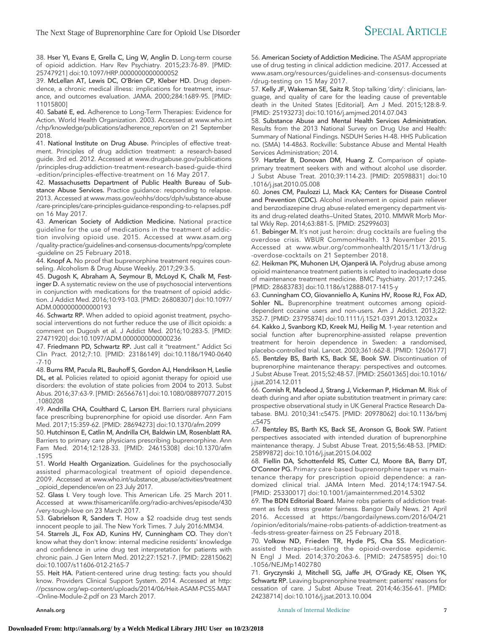38. Hser YI, Evans E, Grella C, Ling W, Anglin D. Long-term course of opioid addiction. Harv Rev Psychiatry. 2015;23:76-89. [PMID: 25747921] doi:10.1097/HRP.0000000000000052

39. McLellan AT, Lewis DC, O'Brien CP, Kleber HD. Drug dependence, a chronic medical illness: implications for treatment, insurance, and outcomes evaluation. JAMA. 2000;284:1689-95. [PMID: 11015800]

40. Sabaté E, ed. Adherence to Long-Term Therapies: Evidence for Action. World Health Organization. 2003. Accessed at [www.who.int](http://www.who.int/chp/knowledge/publications/adherence_report/en) [/chp/knowledge/publications/adherence\\_report/en](http://www.who.int/chp/knowledge/publications/adherence_report/en) on 21 September 2018.

41. National Institute on Drug Abuse. Principles of effective treatment. Principles of drug addiction treatment: a research-based guide. 3rd ed. 2012. Accessed at [www.drugabuse.gov/publications](http://www.drugabuse.gov/publications/principles-drug-addiction-treatment-research-based-guide-third-edition/principles-effective-treatment) [/principles-drug-addiction-treatment-research-based-guide-third](http://www.drugabuse.gov/publications/principles-drug-addiction-treatment-research-based-guide-third-edition/principles-effective-treatment) [-edition/principles-effective-treatment](http://www.drugabuse.gov/publications/principles-drug-addiction-treatment-research-based-guide-third-edition/principles-effective-treatment) on 16 May 2017.

42. Massachusetts Department of Public Health Bureau of Substance Abuse Services. Practice guidance: responding to relapse. 2013. Accessed at [www.mass.gov/eohhs/docs/dph/substance-abuse](http://www.mass.gov/eohhs/docs/dph/substance-abuse/care-principles/care-principles-guidance-responding-to-relapses.pdf) [/care-principles/care-principles-guidance-responding-to-relapses.pdf](http://www.mass.gov/eohhs/docs/dph/substance-abuse/care-principles/care-principles-guidance-responding-to-relapses.pdf) on 16 May 2017.

43. American Society of Addiction Medicine. National practice guideline for the use of medications in the treatment of addiction involving opioid use. 2015. Accessed at [www.asam.org](http://www.asam.org/quality-practice/guidelines-and-consensus-documents/npg/complete-guideline) [/quality-practice/guidelines-and-consensus-documents/npg/complete](http://www.asam.org/quality-practice/guidelines-and-consensus-documents/npg/complete-guideline) [-guideline](http://www.asam.org/quality-practice/guidelines-and-consensus-documents/npg/complete-guideline) on 25 February 2018.

44. Knopf A. No proof that buprenorphine treatment requires counseling. Alcoholism & Drug Abuse Weekly. 2017;29:3-5.

45. Dugosh K, Abraham A, Seymour B, McLoyd K, Chalk M, Festinger D. A systematic review on the use of psychosocial interventions in conjunction with medications for the treatment of opioid addiction. J Addict Med. 2016;10:93-103. [PMID: 26808307] doi:10.1097/ ADM.0000000000000193

46. Schwartz RP. When added to opioid agonist treatment, psychosocial interventions do not further reduce the use of illicit opioids: a comment on Dugosh et al. J Addict Med. 2016;10:283-5. [PMID: 27471920] doi:10.1097/ADM.0000000000000236

47. Friedmann PD, Schwartz RP. Just call it "treatment." Addict Sci Clin Pract. 2012;7:10. [PMID: 23186149] doi:10.1186/1940-0640 -7-10

48. Burns RM, Pacula RL, Bauhoff S, Gordon AJ, Hendrikson H, Leslie DL, et al. Policies related to opioid agonist therapy for opioid use disorders: the evolution of state policies from 2004 to 2013. Subst Abus. 2016;37:63-9. [PMID: 26566761] doi:10.1080/08897077.2015 .1080208

49. Andrilla CHA, Coulthard C, Larson EH. Barriers rural physicians face prescribing buprenorphine for opioid use disorder. Ann Fam Med. 2017;15:359-62. [PMID: 28694273] doi:10.1370/afm.2099

50. Hutchinson E, Catlin M, Andrilla CH, Baldwin LM, Rosenblatt RA. Barriers to primary care physicians prescribing buprenorphine. Ann Fam Med. 2014;12:128-33. [PMID: 24615308] doi:10.1370/afm .1595

51. World Health Organization. Guidelines for the psychosocially assisted pharmacological treatment of opioid dependence. 2009. Accessed at [www.who.int/substance\\_abuse/activities/treatment](http://www.who.int/substance_abuse/activities/treatment_opioid_dependence/en) [\\_opioid\\_dependence/en](http://www.who.int/substance_abuse/activities/treatment_opioid_dependence/en) on 23 July 2017.

52. Glass I. Very tough love. This American Life. 25 March 2011. Accessed at [www.thisamericanlife.org/radio-archives/episode/430](http://www.thisamericanlife.org/radio-archives/episode/430/very-tough-love) [/very-tough-love](http://www.thisamericanlife.org/radio-archives/episode/430/very-tough-love) on 23 March 2017.

53. Gabrielson R, Sanders T. How a \$2 roadside drug test sends innocent people to jail. The New York Times. 7 July 2016:MM34.

54. Starrels JL, Fox AD, Kunins HV, Cunningham CO. They don't know what they don't know: internal medicine residents' knowledge and confidence in urine drug test interpretation for patients with chronic pain. J Gen Intern Med. 2012;27:1521-7. [PMID: 22815062] doi:10.1007/s11606-012-2165-7

55. Heit HA. Patient-centered urine drug testing: facts you should know. Providers Clinical Support System. 2014. Accessed at [http:](http://pcssnow.org/wp-content/uploads/2014/06/Heit-ASAM-PCSS-MAT-Online-Module-2.pdf) [//pcssnow.org/wp-content/uploads/2014/06/Heit-ASAM-PCSS-MAT](http://pcssnow.org/wp-content/uploads/2014/06/Heit-ASAM-PCSS-MAT-Online-Module-2.pdf) [-Online-Module-2.pdf](http://pcssnow.org/wp-content/uploads/2014/06/Heit-ASAM-PCSS-MAT-Online-Module-2.pdf) on 23 March 2017.

56. American Society of Addiction Medicine. The ASAM appropriate use of drug testing in clinical addiction medicine. 2017. Accessed at [www.asam.org/resources/guidelines-and-consensus-documents](http://www.asam.org/resources/guidelines-and-consensus-documents/drug-testing) [/drug-testing](http://www.asam.org/resources/guidelines-and-consensus-documents/drug-testing) on 15 May 2017.

57. Kelly JF, Wakeman SE, Saitz R. Stop talking 'dirty': clinicians, language, and quality of care for the leading cause of preventable death in the United States [Editorial]. Am J Med. 2015;128:8-9. [PMID: 25193273] doi:10.1016/j.amjmed.2014.07.043

58. Substance Abuse and Mental Health Services Administration. Results from the 2013 National Survey on Drug Use and Health: Summary of National Findings. NSDUH Series H-48. HHS Publication no. (SMA) 14-4863. Rockville: Substance Abuse and Mental Health Services Administration; 2014.

59. Hartzler B, Donovan DM, Huang Z. Comparison of opiateprimary treatment seekers with and without alcohol use disorder. J Subst Abuse Treat. 2010;39:114-23. [PMID: 20598831] doi:10 .1016/j.jsat.2010.05.008

60. Jones CM, Paulozzi LJ, Mack KA; Centers for Disease Control and Prevention (CDC). Alcohol involvement in opioid pain reliever and benzodiazepine drug abuse-related emergency department visits and drug-related deaths—United States, 2010. MMWR Morb Mortal Wkly Rep. 2014;63:881-5. [PMID: 25299603]

61. Bebinger M. It's not just heroin: drug cocktails are fueling the overdose crisis. WBUR CommonHealth. 13 November 2015. Accessed at [www.wbur.org/commonhealth/2015/11/13/drug](http://www.wbur.org/commonhealth/2015/11/13/drug-overdose-cocktails) [-overdose-cocktails](http://www.wbur.org/commonhealth/2015/11/13/drug-overdose-cocktails) on 21 September 2018.

62. Heikman PK, Muhonen LH, Ojanperä IA. Polydrug abuse among opioid maintenance treatment patients is related to inadequate dose of maintenance treatment medicine. BMC Psychiatry. 2017;17:245. [PMID: 28683783] doi:10.1186/s12888-017-1415-y

63. Cunningham CO, Giovanniello A, Kunins HV, Roose RJ, Fox AD, Sohler NL. Buprenorphine treatment outcomes among opioiddependent cocaine users and non-users. Am J Addict. 2013;22: 352-7. [PMID: 23795874] doi:10.1111/j.1521-0391.2013.12032.x

64. Kakko J, Svanborg KD, Kreek MJ, Heilig M. 1-year retention and social function after buprenorphine-assisted relapse prevention treatment for heroin dependence in Sweden: a randomised, placebo-controlled trial. Lancet. 2003;361:662-8. [PMID: 12606177] 65. Bentzley BS, Barth KS, Back SE, Book SW. Discontinuation of buprenorphine maintenance therapy: perspectives and outcomes. J Subst Abuse Treat. 2015;52:48-57. [PMID: 25601365] doi:10.1016/ j.jsat.2014.12.011

66. Cornish R, Macleod J, Strang J, Vickerman P, Hickman M. Risk of death during and after opiate substitution treatment in primary care: prospective observational study in UK General Practice Research Database. BMJ. 2010;341:c5475. [PMID: 20978062] doi:10.1136/bmj .c5475

67. Bentzley BS, Barth KS, Back SE, Aronson G, Book SW. Patient perspectives associated with intended duration of buprenorphine maintenance therapy. J Subst Abuse Treat. 2015;56:48-53. [PMID: 25899872] doi:10.1016/j.jsat.2015.04.002

68. Fiellin DA, Schottenfeld RS, Cutter CJ, Moore BA, Barry DT, O'Connor PG. Primary care-based buprenorphine taper vs maintenance therapy for prescription opioid dependence: a randomized clinical trial. JAMA Intern Med. 2014;174:1947-54. [PMID: 25330017] doi:10.1001/jamainternmed.2014.5302

69. The BDN Editorial Board. Maine robs patients of addiction treatment as feds stress greater fairness. Bangor Daily News. 21 April 2016. Accessed at [https://bangordailynews.com/2016/04/21](https://bangordailynews.com/2016/04/21/opinion/editorials/maine-robs-patients-of-addiction-treatment-as-feds-stress-greater-fairness) [/opinion/editorials/maine-robs-patients-of-addiction-treatment-as](https://bangordailynews.com/2016/04/21/opinion/editorials/maine-robs-patients-of-addiction-treatment-as-feds-stress-greater-fairness) [-feds-stress-greater-fairness](https://bangordailynews.com/2016/04/21/opinion/editorials/maine-robs-patients-of-addiction-treatment-as-feds-stress-greater-fairness) on 25 February 2018.

70. Volkow ND, Frieden TR, Hyde PS, Cha SS. Medicationassisted therapies—tackling the opioid-overdose epidemic. N Engl J Med. 2014;370:2063-6. [PMID: 24758595] doi:10 .1056/NEJMp1402780

71. Gryczynski J, Mitchell SG, Jaffe JH, O'Grady KE, Olsen YK, Schwartz RP. Leaving buprenorphine treatment: patients' reasons for cessation of care. J Subst Abuse Treat. 2014;46:356-61. [PMID: 24238714] doi:10.1016/j.jsat.2013.10.004

[Annals.org](http://www.annals.org) **Annal Medicine 7 Annals of Internal Medicine 7** *Annals P Particularly <b><i>Particularly <b>7 <i>Particularly <b>7 Particularly Particularly 7 Particularly*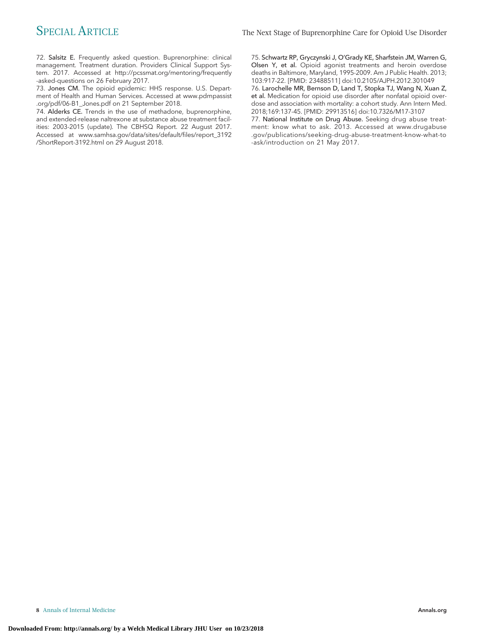72. Salsitz E. Frequently asked question. Buprenorphine: clinical management. Treatment duration. Providers Clinical Support System. 2017. Accessed at [http://pcssmat.org/mentoring/frequently](http://pcssmat.org/mentoring/frequently-asked-questions) [-asked-questions](http://pcssmat.org/mentoring/frequently-asked-questions) on 26 February 2017.

73. Jones CM. The opioid epidemic: HHS response. U.S. Department of Health and Human Services. Accessed at [www.pdmpassist](http://www.pdmpassist.org/pdf/06-B1_Jones.pdf) [.org/pdf/06-B1\\_Jones.pdf](http://www.pdmpassist.org/pdf/06-B1_Jones.pdf) on 21 September 2018.

74. Alderks CE. Trends in the use of methadone, buprenorphine, and extended-release naltrexone at substance abuse treatment facilities: 2003-2015 (update). The CBHSQ Report. 22 August 2017. Accessed at [www.samhsa.gov/data/sites/default/files/report\\_3192](http://www.samhsa.gov/data/sites/default/files/report_3192/ShortReport-3192.html) [/ShortReport-3192.html](http://www.samhsa.gov/data/sites/default/files/report_3192/ShortReport-3192.html) on 29 August 2018.

75. Schwartz RP, Gryczynski J, O'Grady KE, Sharfstein JM, Warren G, Olsen Y, et al. Opioid agonist treatments and heroin overdose deaths in Baltimore, Maryland, 1995-2009. Am J Public Health. 2013; 103:917-22. [PMID: 23488511] doi:10.2105/AJPH.2012.301049 76. Larochelle MR, Bernson D, Land T, Stopka TJ, Wang N, Xuan Z,

et al. Medication for opioid use disorder after nonfatal opioid overdose and association with mortality: a cohort study. Ann Intern Med. 2018;169:137-45. [PMID: 29913516] doi:10.7326/M17-3107

77. National Institute on Drug Abuse. Seeking drug abuse treatment: know what to ask. 2013. Accessed at [www.drugabuse](http://www.drugabuse.gov/publications/seeking-drug-abuse-treatment-know-what-to-ask/introduction) [.gov/publications/seeking-drug-abuse-treatment-know-what-to](http://www.drugabuse.gov/publications/seeking-drug-abuse-treatment-know-what-to-ask/introduction) [-ask/introduction](http://www.drugabuse.gov/publications/seeking-drug-abuse-treatment-know-what-to-ask/introduction) on 21 May 2017.